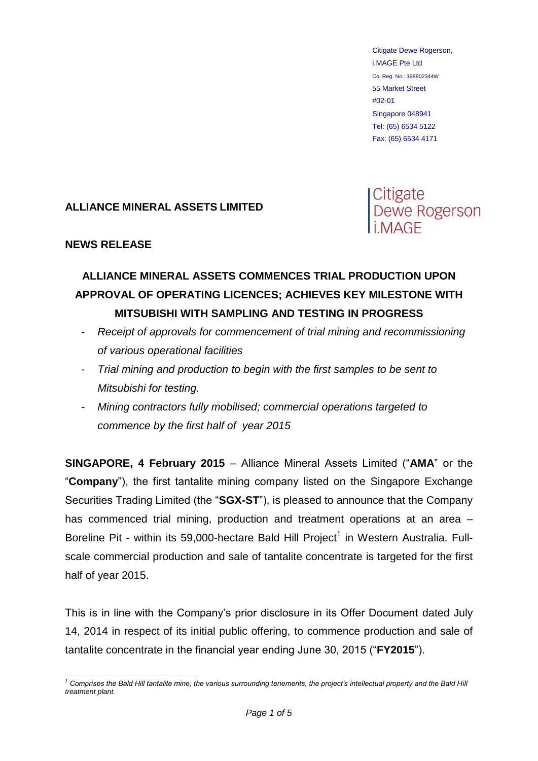Citigate Dewe Rogerson, i.MAGE Pte Ltd Co. Reg. No.: 198802344W 55 Market Street #02-01 Singapore 048941 Tel: (65) 6534 5122 Fax: (65) 6534 4171

## **ALLIANCE MINERAL ASSETS LIMITED**

Citigate<br>Dewe Rogerson

## **NEWS RELEASE**

## **ALLIANCE MINERAL ASSETS COMMENCES TRIAL PRODUCTION UPON APPROVAL OF OPERATING LICENCES; ACHIEVES KEY MILESTONE WITH MITSUBISHI WITH SAMPLING AND TESTING IN PROGRESS**

- *Receipt of approvals for commencement of trial mining and recommissioning of various operational facilities*
- *Trial mining and production to begin with the first samples to be sent to Mitsubishi for testing.*
- *Mining contractors fully mobilised; commercial operations targeted to commence by the first half of year 2015*

**SINGAPORE, 4 February 2015** – Alliance Mineral Assets Limited ("**AMA**" or the "**Company**"), the first tantalite mining company listed on the Singapore Exchange Securities Trading Limited (the "**SGX-ST**"), is pleased to announce that the Company has commenced trial mining, production and treatment operations at an area – Boreline Pit - within its 59,000-hectare Bald Hill Project<sup>1</sup> in Western Australia. Fullscale commercial production and sale of tantalite concentrate is targeted for the first half of year 2015.

This is in line with the Company's prior disclosure in its Offer Document dated July 14, 2014 in respect of its initial public offering, to commence production and sale of tantalite concentrate in the financial year ending June 30, 2015 ("**FY2015**").

<sup>1</sup> <sup>1</sup> Comprises the Bald Hill tantalite mine, the various surrounding tenements, the project's intellectual property and the Bald Hill *treatment plant.*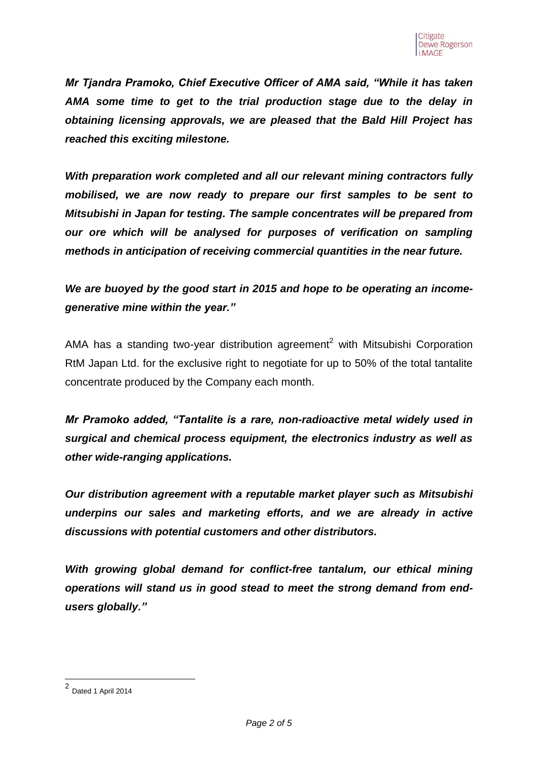*Mr Tjandra Pramoko, Chief Executive Officer of AMA said, "While it has taken AMA some time to get to the trial production stage due to the delay in obtaining licensing approvals, we are pleased that the Bald Hill Project has reached this exciting milestone.* 

*With preparation work completed and all our relevant mining contractors fully mobilised, we are now ready to prepare our first samples to be sent to Mitsubishi in Japan for testing. The sample concentrates will be prepared from our ore which will be analysed for purposes of verification on sampling methods in anticipation of receiving commercial quantities in the near future.*

*We are buoyed by the good start in 2015 and hope to be operating an incomegenerative mine within the year."*

AMA has a standing two-year distribution agreement<sup>2</sup> with Mitsubishi Corporation RtM Japan Ltd. for the exclusive right to negotiate for up to 50% of the total tantalite concentrate produced by the Company each month.

*Mr Pramoko added, "Tantalite is a rare, non-radioactive metal widely used in surgical and chemical process equipment, the electronics industry as well as other wide-ranging applications.* 

*Our distribution agreement with a reputable market player such as Mitsubishi underpins our sales and marketing efforts, and we are already in active discussions with potential customers and other distributors.* 

*With growing global demand for conflict-free tantalum, our ethical mining operations will stand us in good stead to meet the strong demand from endusers globally."*

**<sup>2</sup>**<br>2 Dated 1 April 2014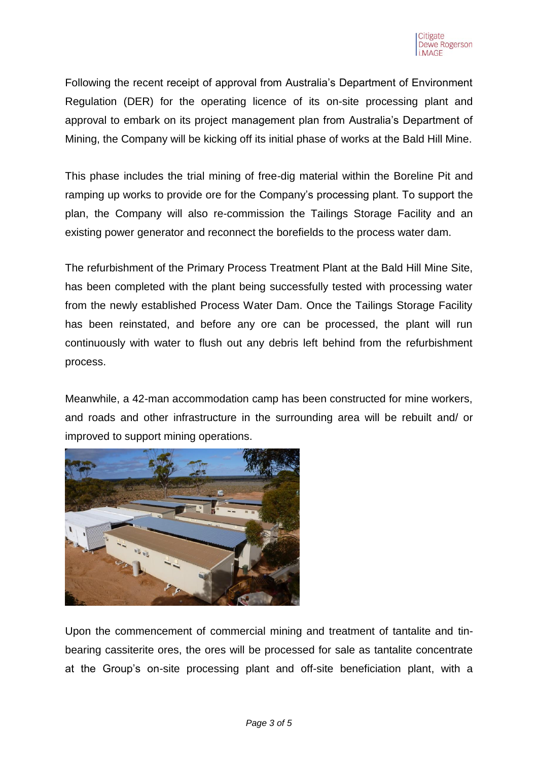Following the recent receipt of approval from Australia's Department of Environment Regulation (DER) for the operating licence of its on-site processing plant and approval to embark on its project management plan from Australia's Department of Mining, the Company will be kicking off its initial phase of works at the Bald Hill Mine.

This phase includes the trial mining of free-dig material within the Boreline Pit and ramping up works to provide ore for the Company's processing plant. To support the plan, the Company will also re-commission the Tailings Storage Facility and an existing power generator and reconnect the borefields to the process water dam.

The refurbishment of the Primary Process Treatment Plant at the Bald Hill Mine Site, has been completed with the plant being successfully tested with processing water from the newly established Process Water Dam. Once the Tailings Storage Facility has been reinstated, and before any ore can be processed, the plant will run continuously with water to flush out any debris left behind from the refurbishment process.

Meanwhile, a 42-man accommodation camp has been constructed for mine workers, and roads and other infrastructure in the surrounding area will be rebuilt and/ or improved to support mining operations.



Upon the commencement of commercial mining and treatment of tantalite and tinbearing cassiterite ores, the ores will be processed for sale as tantalite concentrate at the Group's on-site processing plant and off-site beneficiation plant, with a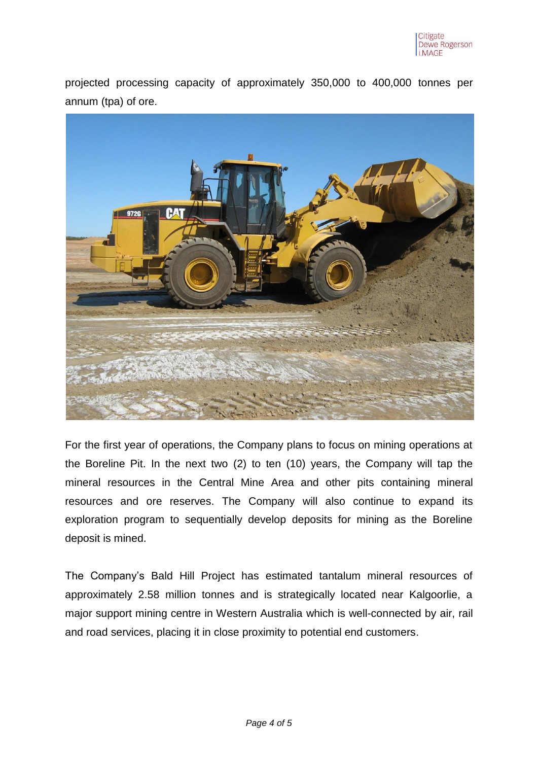projected processing capacity of approximately 350,000 to 400,000 tonnes per annum (tpa) of ore.



For the first year of operations, the Company plans to focus on mining operations at the Boreline Pit. In the next two (2) to ten (10) years, the Company will tap the mineral resources in the Central Mine Area and other pits containing mineral resources and ore reserves. The Company will also continue to expand its exploration program to sequentially develop deposits for mining as the Boreline deposit is mined.

The Company's Bald Hill Project has estimated tantalum mineral resources of approximately 2.58 million tonnes and is strategically located near Kalgoorlie, a major support mining centre in Western Australia which is well-connected by air, rail and road services, placing it in close proximity to potential end customers.